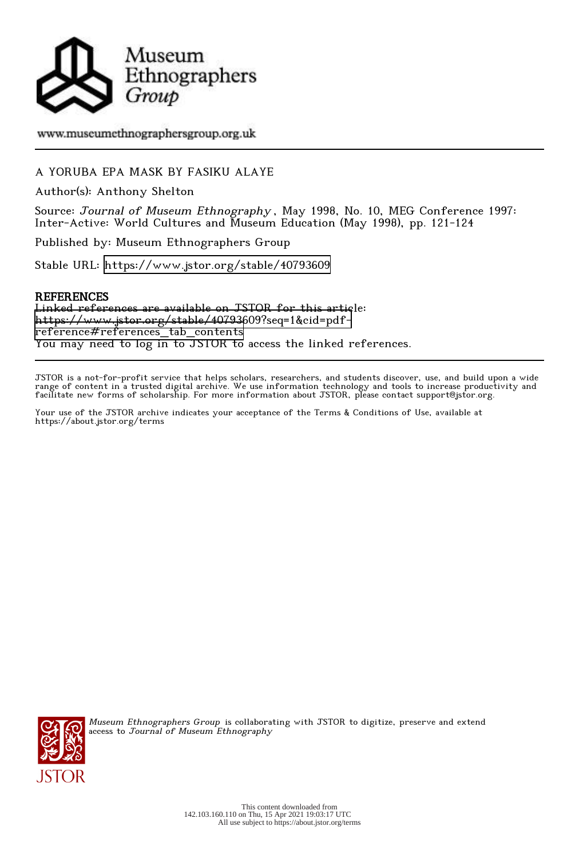

# www.museumethnographersgroup.org.uk

# A YORUBA EPA MASK BY FASIKU ALAYE

Author(s): Anthony Shelton

Source: Journal of Museum Ethnography , May 1998, No. 10, MEG Conference 1997: Inter-Active: World Cultures and Museum Education (May 1998), pp. 121-124

Published by: Museum Ethnographers Group

Stable URL:<https://www.jstor.org/stable/40793609>

## **REFERENCES**

Linked references are available on JSTOR for this article: [https://www.jstor.org/stable/40793609?seq=1&cid=pdf](https://www.jstor.org/stable/40793609?seq=1&cid=pdf-reference#references_tab_contents)[reference#references\\_tab\\_contents](https://www.jstor.org/stable/40793609?seq=1&cid=pdf-reference#references_tab_contents) You may need to log in to JSTOR to access the linked references.

JSTOR is a not-for-profit service that helps scholars, researchers, and students discover, use, and build upon a wide range of content in a trusted digital archive. We use information technology and tools to increase productivity and facilitate new forms of scholarship. For more information about JSTOR, please contact support@jstor.org.

Your use of the JSTOR archive indicates your acceptance of the Terms & Conditions of Use, available at https://about.jstor.org/terms



Museum Ethnographers Group is collaborating with JSTOR to digitize, preserve and extend access to Journal of Museum Ethnography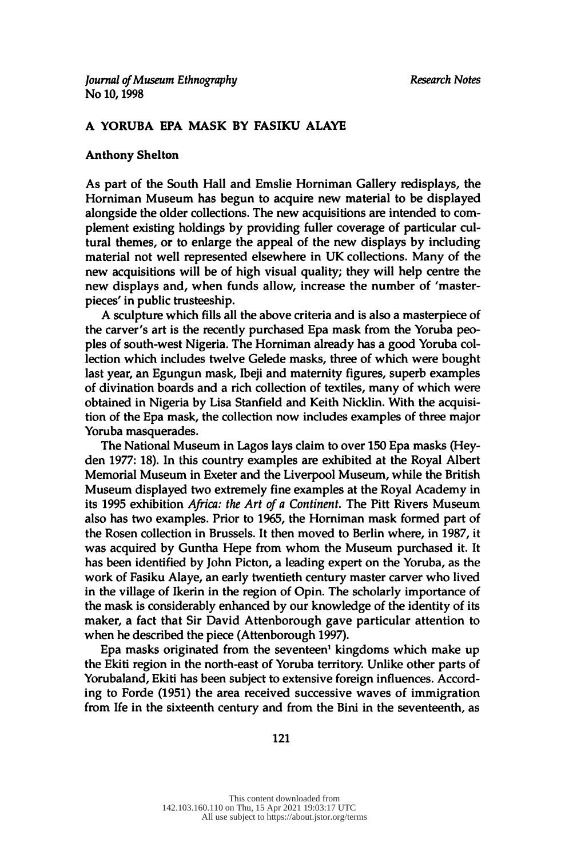## A YORUBA EPA MASK BY FASIKU ALAYE

## Anthony Shelton

 As part of the South Hall and Emslie Horniman Gallery redisplays, the Horniman Museum has begun to acquire new material to be displayed alongside the older collections. The new acquisitions are intended to com plement existing holdings by providing fuller coverage of particular cul tural themes, or to enlarge the appeal of the new displays by including material not well represented elsewhere in UK collections. Many of the new acquisitions will be of high visual quality; they will help centre the new displays and, when funds allow, increase the number of 'master pieces' in public trusteeship.

 A sculpture which fills all the above criteria and is also a masterpiece of the carver's art is the recently purchased Epa mask from the Yoruba peo ples of south-west Nigeria. The Horniman already has a good Yoruba col lection which includes twelve Gelede masks, three of which were bought last year, an Egungun mask, Ibeji and maternity figures, superb examples of divination boards and a rich collection of textiles, many of which were obtained in Nigeria by Lisa Stanfield and Keith Nicklin. With the acquisi tion of the Epa mask, the collection now includes examples of three major Yoruba masquerades.

 The National Museum in Lagos lays claim to over 150 Epa masks (Hey den 1977: 18). In this country examples are exhibited at the Royal Albert Memorial Museum in Exeter and the Liverpool Museum, while the British Museum displayed two extremely fine examples at the Royal Academy in its 1995 exhibition Africa: the Art of a Continent. The Pitt Rivers Museum also has two examples. Prior to 1965, the Horniman mask formed part of the Rosen collection in Brussels. It then moved to Berlin where, in 1987, it was acquired by Guntha Hepe from whom the Museum purchased it. It has been identified by John Picton, a leading expert on the Yoruba, as the work of Fasiku Alaye, an early twentieth century master carver who lived in the village of Ikerin in the region of Opin. The scholarly importance of the mask is considerably enhanced by our knowledge of the identity of its maker, a fact that Sir David Attenborough gave particular attention to when he described the piece (Attenborough 1997).

Epa masks originated from the seventeen<sup>1</sup> kingdoms which make up the Ekiti region in the north-east of Yoruba territory. Unlike other parts of Yorubaland, Ekiti has been subject to extensive foreign influences. Accord ing to Forde (1951) the area received successive waves of immigration from Ife in the sixteenth century and from the Bini in the seventeenth, as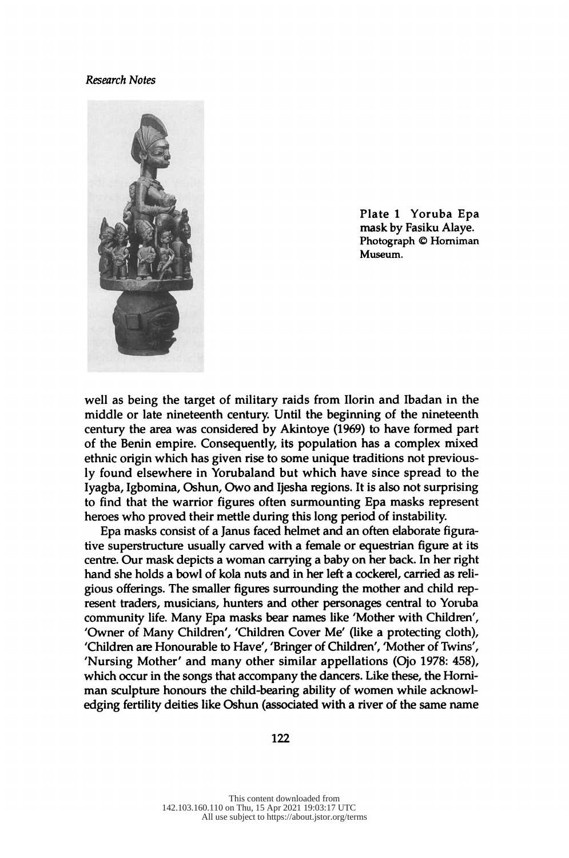#### Research Notes



 Plate 1 Yoruba Epa mask by Fasiku Alaye. Photograph © Horniman Museum.

 well as being the target of military raids from Ilorin and Ibadan in the middle or late nineteenth century. Until the beginning of the nineteenth century the area was considered by Akintoye (1969) to have formed part of the Benin empire. Consequently, its population has a complex mixed ethnic origin which has given rise to some unique traditions not previous ly found elsewhere in Yorubaland but which have since spread to the Iyagba, Igbomina, Oshun, Owo and Ijesha regions. It is also not surprising to find that the warrior figures often surmounting Epa masks represent heroes who proved their mettle during this long period of instability.

 Epa masks consist of a Janus faced helmet and an often elaborate figura tive superstructure usually carved with a female or equestrian figure at its centre. Our mask depicts a woman carrying a baby on her back. In her right hand she holds a bowl of kola nuts and in her left a cockerel, carried as reli gious offerings. The smaller figures surrounding the mother and child rep resent traders, musicians, hunters and other personages central to Yoruba community life. Many Epa masks bear names like 'Mother with Children', 'Owner of Many Children', 'Children Cover Me' (like a protecting cloth), 'Children are Honourable to Have', 'Bringer of Children', 'Mother of Twins', 'Nursing Mother' and many other similar appellations (Ojo 1978: 458), which occur in the songs that accompany the dancers. Like these, the Horni man sculpture honours the child-bearing ability of women while acknowl edging fertility deities like Oshun (associated with a river of the same name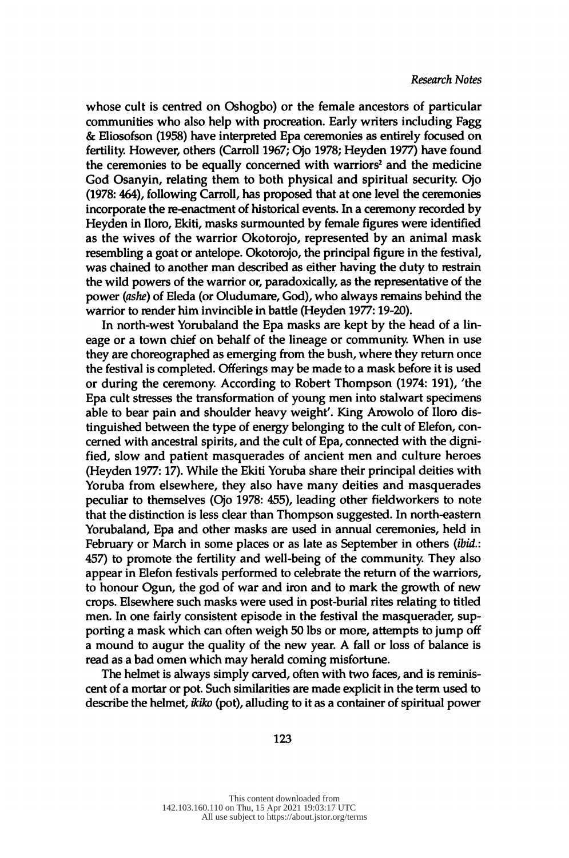whose cult is centred on Oshogbo) or the female ancestors of particular communities who also help with procreation. Early writers including Fagg & Eliosofson (1958) have interpreted Epa ceremonies as entirely focused on fertility. However, others (Carroll 1967; Ojo 1978; Heyden 1977) have found the ceremonies to be equally concerned with warriors<sup>2</sup> and the medicine God Osanyin, relating them to both physical and spiritual security. Ojo (1978: 464), following Carroll, has proposed that at one level the ceremonies incorporate the re-enactment of historical events. In a ceremony recorded by Heyden in lloro, Ekiti, masks surmounted by female figures were identified as the wives of the warrior Okotorojo, represented by an animal mask resembling a goat or antelope. Okotorojo, the principal figure in the festival, was chained to another man described as either having the duty to restrain the wild powers of the warrior or, paradoxically, as the representative of the power (ashe) of Eleda (or Oludumare, God), who always remains behind the warrior to render him invincible in battle (Heyden 1977: 19-20).

 In north-west Yorubaland the Epa masks are kept by the head of a lin eage or a town chief on behalf of the lineage or community. When in use they are choreographed as emerging from the bush, where they return once the festival is completed. Offerings may be made to a mask before it is used or during the ceremony. According to Robert Thompson (1974: 191), 'the Epa cult stresses the transformation of young men into stalwart specimens able to bear pain and shoulder heavy weight'. King Arowolo of Iloro dis tinguished between the type of energy belonging to the cult of Elefon, con cerned with ancestral spirits, and the cult of Epa, connected with the digni fied, slow and patient masquerades of ancient men and culture heroes (Heyden 1977: 17). While the Ekiti Yoruba share their principal deities with Yoruba from elsewhere, they also have many deities and masquerades peculiar to themselves (Ojo 1978: 455), leading other fieldworkers to note that the distinction is less clear than Thompson suggested. In north-eastern Yorubaland, Epa and other masks are used in annual ceremonies, held in February or March in some places or as late as September in others (ibid.: 457) to promote the fertility and well-being of the community. They also appear in Elefon festivals performed to celebrate the return of the warriors, to honour Ogun, the god of war and iron and to mark the growth of new crops. Elsewhere such masks were used in post-burial rites relating to titled men. In one fairly consistent episode in the festival the masquerader, sup porting a mask which can often weigh 50 lbs or more, attempts to jump off a mound to augur the quality of the new year. A fall or loss of balance is read as a bad omen which may herald coming misfortune.

 The helmet is always simply carved, often with two faces, and is reminis cent of a mortar or pot. Such similarities are made explicit in the term used to describe the helmet, *ikiko* (pot), alluding to it as a container of spiritual power